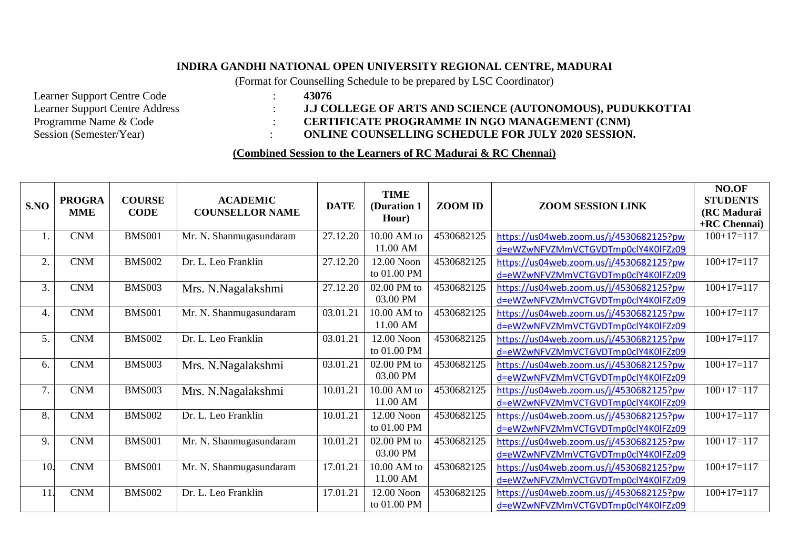## **INDIRA GANDHI NATIONAL OPEN UNIVERSITY REGIONAL CENTRE, MADURAI**

(Format for Counselling Schedule to be prepared by LSC Coordinator)

Learner Support Centre Code : **43076**<br>Learner Support Centre Address : **43076** 

## Learner Support Centre Address : **J.J COLLEGE OF ARTS AND SCIENCE (AUTONOMOUS), PUDUKKOTTAI**<br>Programme Name & Code : **CERTIFICATE PROGRAMME IN NGO MANAGEMENT (CNM)** Programme Name & Code : **CERTIFICATE PROGRAMME IN NGO MANAGEMENT (CNM)**<br>Session (Semester/Year) : **CONLINE COUNSELLING SCHEDULE FOR JULY 2020 SESSION** : **ONLINE COUNSELLING SCHEDULE FOR JULY 2020 SESSION.**

## **(Combined Session to the Learners of RC Madurai & RC Chennai)**

| S.NO | <b>PROGRA</b><br><b>MME</b> | <b>COURSE</b><br><b>CODE</b> | <b>ACADEMIC</b><br><b>COUNSELLOR NAME</b> | <b>DATE</b> | <b>TIME</b><br>(Duration 1<br>Hour) | ZOOM ID    | <b>ZOOM SESSION LINK</b>                                                      | NO.OF<br><b>STUDENTS</b><br>(RC Madurai<br>+RC Chennai) |
|------|-----------------------------|------------------------------|-------------------------------------------|-------------|-------------------------------------|------------|-------------------------------------------------------------------------------|---------------------------------------------------------|
| 1.   | <b>CNM</b>                  | <b>BMS001</b>                | Mr. N. Shanmugasundaram                   | 27.12.20    | 10.00 AM to<br>11.00 AM             | 4530682125 | https://us04web.zoom.us/j/4530682125?pw<br>d=eWZwNFVZMmVCTGVDTmp0clY4K0lFZz09 | $100+17=117$                                            |
| 2.   | <b>CNM</b>                  | <b>BMS002</b>                | Dr. L. Leo Franklin                       | 27.12.20    | 12.00 Noon<br>to 01.00 PM           | 4530682125 | https://us04web.zoom.us/j/4530682125?pw<br>d=eWZwNFVZMmVCTGVDTmp0clY4K0lFZz09 | $100+17=117$                                            |
| 3.   | <b>CNM</b>                  | <b>BMS003</b>                | Mrs. N.Nagalakshmi                        | 27.12.20    | 02.00 PM to<br>03.00 PM             | 4530682125 | https://us04web.zoom.us/j/4530682125?pw<br>d=eWZwNFVZMmVCTGVDTmp0clY4K0lFZz09 | $100+17=117$                                            |
| 4.   | <b>CNM</b>                  | <b>BMS001</b>                | Mr. N. Shanmugasundaram                   | 03.01.21    | 10.00 AM to<br>11.00 AM             | 4530682125 | https://us04web.zoom.us/j/4530682125?pw<br>d=eWZwNFVZMmVCTGVDTmp0clY4K0lFZz09 | $100+17=117$                                            |
| 5.   | <b>CNM</b>                  | <b>BMS002</b>                | Dr. L. Leo Franklin                       | 03.01.21    | 12.00 Noon<br>to 01.00 PM           | 4530682125 | https://us04web.zoom.us/j/4530682125?pw<br>d=eWZwNFVZMmVCTGVDTmp0clY4K0lFZz09 | $100+17=117$                                            |
| 6.   | <b>CNM</b>                  | <b>BMS003</b>                | Mrs. N.Nagalakshmi                        | 03.01.21    | 02.00 PM to<br>03.00 PM             | 4530682125 | https://us04web.zoom.us/j/4530682125?pw<br>d=eWZwNFVZMmVCTGVDTmp0clY4K0lFZz09 | $100+17=117$                                            |
| 7.   | <b>CNM</b>                  | <b>BMS003</b>                | Mrs. N.Nagalakshmi                        | 10.01.21    | 10.00 AM to<br>11.00 AM             | 4530682125 | https://us04web.zoom.us/j/4530682125?pw<br>d=eWZwNFVZMmVCTGVDTmp0clY4K0lFZz09 | $100+17=117$                                            |
| 8.   | <b>CNM</b>                  | <b>BMS002</b>                | Dr. L. Leo Franklin                       | 10.01.21    | 12.00 Noon<br>to 01.00 PM           | 4530682125 | https://us04web.zoom.us/j/4530682125?pw<br>d=eWZwNFVZMmVCTGVDTmp0clY4K0lFZz09 | $100+17=117$                                            |
| 9.   | <b>CNM</b>                  | <b>BMS001</b>                | Mr. N. Shanmugasundaram                   | 10.01.21    | 02.00 PM to<br>03.00 PM             | 4530682125 | https://us04web.zoom.us/j/4530682125?pw<br>d=eWZwNFVZMmVCTGVDTmp0clY4K0lFZz09 | $100+17=117$                                            |
| 10.  | <b>CNM</b>                  | <b>BMS001</b>                | Mr. N. Shanmugasundaram                   | 17.01.21    | 10.00 AM to<br>11.00 AM             | 4530682125 | https://us04web.zoom.us/j/4530682125?pw<br>d=eWZwNFVZMmVCTGVDTmp0clY4K0lFZz09 | $100+17=117$                                            |
| 11   | <b>CNM</b>                  | <b>BMS002</b>                | Dr. L. Leo Franklin                       | 17.01.21    | 12.00 Noon<br>to 01.00 PM           | 4530682125 | https://us04web.zoom.us/j/4530682125?pw<br>d=eWZwNFVZMmVCTGVDTmp0clY4K0lFZz09 | $100+17=117$                                            |